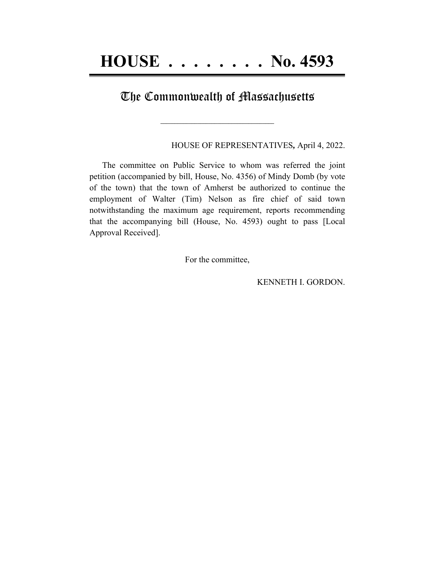## The Commonwealth of Massachusetts

 $\mathcal{L} = \{ \mathcal{L} \}$ 

HOUSE OF REPRESENTATIVES*,* April 4, 2022.

The committee on Public Service to whom was referred the joint petition (accompanied by bill, House, No. 4356) of Mindy Domb (by vote of the town) that the town of Amherst be authorized to continue the employment of Walter (Tim) Nelson as fire chief of said town notwithstanding the maximum age requirement, reports recommending that the accompanying bill (House, No. 4593) ought to pass [Local Approval Received].

For the committee,

KENNETH I. GORDON.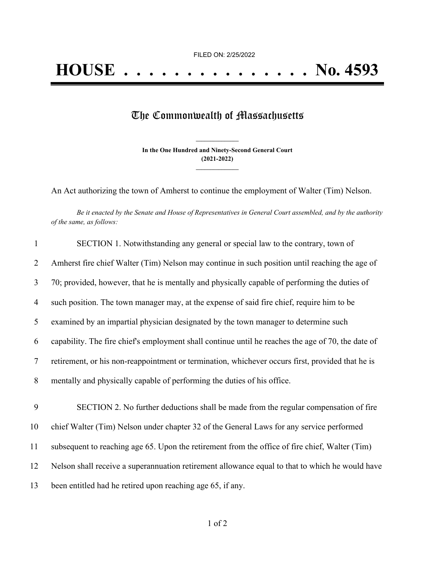## The Commonwealth of Massachusetts

**In the One Hundred and Ninety-Second General Court (2021-2022) \_\_\_\_\_\_\_\_\_\_\_\_\_\_\_**

**\_\_\_\_\_\_\_\_\_\_\_\_\_\_\_**

An Act authorizing the town of Amherst to continue the employment of Walter (Tim) Nelson.

Be it enacted by the Senate and House of Representatives in General Court assembled, and by the authority *of the same, as follows:*

| $\mathbf{1}$   | SECTION 1. Notwithstanding any general or special law to the contrary, town of                     |
|----------------|----------------------------------------------------------------------------------------------------|
| 2              | Amherst fire chief Walter (Tim) Nelson may continue in such position until reaching the age of     |
| 3              | 70; provided, however, that he is mentally and physically capable of performing the duties of      |
| $\overline{4}$ | such position. The town manager may, at the expense of said fire chief, require him to be          |
| 5              | examined by an impartial physician designated by the town manager to determine such                |
| 6              | capability. The fire chief's employment shall continue until he reaches the age of 70, the date of |
| 7              | retirement, or his non-reappointment or termination, whichever occurs first, provided that he is   |
| 8              | mentally and physically capable of performing the duties of his office.                            |
| 9              | SECTION 2. No further deductions shall be made from the regular compensation of fire               |
| 10             | chief Walter (Tim) Nelson under chapter 32 of the General Laws for any service performed           |
| 11             | subsequent to reaching age 65. Upon the retirement from the office of fire chief, Walter (Tim)     |
| 12             | Nelson shall receive a superannuation retirement allowance equal to that to which he would have    |
| 13             | been entitled had he retired upon reaching age 65, if any.                                         |
|                |                                                                                                    |